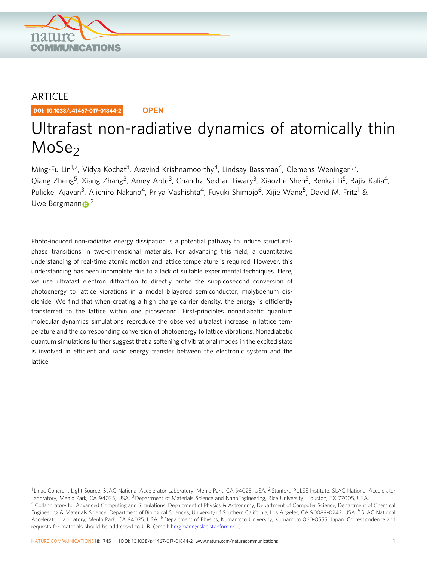

## ARTICLE

DOI: 10.1038/s41467-017-01844-2 **OPEN**

# Ultrafast non-radiative dynamics of atomically thin  $MoSe<sub>2</sub>$

Ming-Fu Lin<sup>1,2</sup>, Vidya Kochat<sup>3</sup>, Aravind Krishnamoorthy<sup>4</sup>, Lindsay Bassman<sup>4</sup>, Clemens Weninger<sup>1,2</sup>, Qiang Zheng<sup>5</sup>, Xiang Zhang<sup>3</sup>, Amey Apte<sup>3</sup>, Chandra Sekhar Tiwary<sup>3</sup>, Xiaozhe Shen<sup>5</sup>, Renkai Li<sup>5</sup>, Rajiv Kalia<sup>4</sup>, Pulickel Ajayan<sup>3</sup>, Aiichiro Nakano<sup>4</sup>, Priya Vashishta<sup>4</sup>, Fuyuki Shimojo<sup>6</sup>, Xijie Wang<sup>5</sup>, David M. Fritz<sup>1</sup> & Uwe Bergma[n](http://orcid.org/0000-0001-5639-166X)n  $\approx$  <sup>2</sup>

Photo-induced non-radiative energy dissipation is a potential pathway to induce structuralphase transitions in two-dimensional materials. For advancing this field, a quantitative understanding of real-time atomic motion and lattice temperature is required. However, this understanding has been incomplete due to a lack of suitable experimental techniques. Here, we use ultrafast electron diffraction to directly probe the subpicosecond conversion of photoenergy to lattice vibrations in a model bilayered semiconductor, molybdenum diselenide. We find that when creating a high charge carrier density, the energy is efficiently transferred to the lattice within one picosecond. First-principles nonadiabatic quantum molecular dynamics simulations reproduce the observed ultrafast increase in lattice temperature and the corresponding conversion of photoenergy to lattice vibrations. Nonadiabatic quantum simulations further suggest that a softening of vibrational modes in the excited state is involved in efficient and rapid energy transfer between the electronic system and the lattice.

<sup>&</sup>lt;sup>1</sup> Linac Coherent Light Source, SLAC National Accelerator Laboratory, Menlo Park, CA 94025, USA.<sup>2</sup> Stanford PULSE Institute, SLAC National Accelerator Laboratory, Menlo Park, CA 94025, USA.<sup>3</sup> Department of Materials Science and NanoEngineering, Rice University, Houston, TX 77005, USA. <sup>4</sup> Collaboratory for Advanced Computing and Simulations, Department of Physics & Astronomy, Department of Computer Science, Department of Chemical Engineering & Materials Science, Department of Biological Sciences, University of Southern California, Los Angeles, CA 90089-0242, USA. <sup>5</sup> SLAC National Accelerator Laboratory, Menlo Park, CA 94025, USA. <sup>6</sup> Department of Physics, Kumamoto University, Kumamoto 860-8555, Japan. Correspondence and requests for materials should be addressed to U.B. (email: [bergmann@slac.stanford.edu\)](mailto:bergmann@slac.stanford.edu)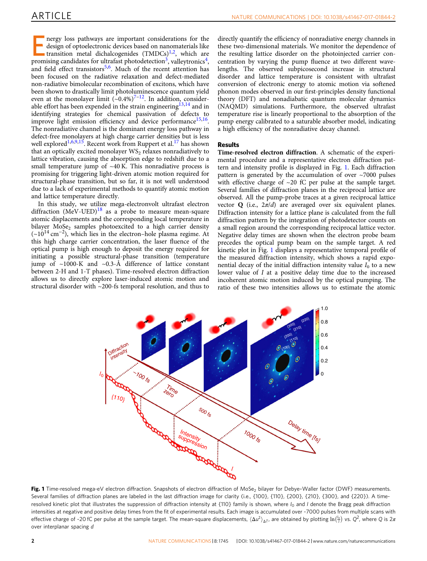nergy loss pathways are important considerations for the design of optoelectronic devices based on nanomaterials like transition metal dichalcogenides (TMDCs)<sup>[1](#page-6-0),[2](#page-6-0)</sup>, which are promising space that the ultrafort photography design of optoelectronic devices based on nanomaterials like promising candidates for ultrafast photodetection<sup>[3](#page-6-0)</sup>, valleytronics<sup>4</sup>, and field effect transistors<sup>[5](#page-6-0),[6](#page-6-0)</sup>. Much of the recent attention has been focused on the radiative relaxation and defect-mediated non-radiative bimolecular recombination of excitons, which have been shown to drastically limit photoluminescence quantum yield<br>even at the monolayer limit (~0.4%)<sup>[7](#page-6-0)–[12](#page-7-0)</sup>. In addition, consider-able effort has been expended in the strain engineering<sup>[13,14](#page-7-0)</sup> and in identifying strategies for chemical passivation of defects to improve light emission efficiency and device performance<sup>15,16</sup>. The nonradiative channel is the dominant energy loss pathway in defect-free monolayers at high charge carrier densities but is less well explored<sup>[1](#page-6-0),[6,9,](#page-6-0)15</sup>. Recent work from Ruppert et al.<sup>17</sup> has shown that an optically excited monolayer  $WS_2$  relaxes nonradiatively to lattice vibration, causing the absorption edge to redshift due to a small temperature jump of  $~40$  K. This nonradiative process is promising for triggering light-driven atomic motion required for structural-phase transition, but so far, it is not well understood due to a lack of experimental methods to quantify atomic motion and lattice temperature directly.

In this study, we utilize mega-electronvolt ultrafast electron diffraction  $(MeV-UED)<sup>18</sup>$  $(MeV-UED)<sup>18</sup>$  $(MeV-UED)<sup>18</sup>$  as a probe to measure mean-square atomic displacements and the corresponding local temperature in bilayer  $Mose<sub>2</sub>$  samples photoexcited to a high carrier density  $({\sim}10^{14} \text{ cm}^{-2})$ , which lies in the electron–hole plasma regime. At this high charge carrier concentration, the laser fluence of the optical pump is high enough to deposit the energy required for initiating a possible structural-phase transition (temperature jump of  $\sim$ 1000-K and  $\sim$ 0.3-Å difference of lattice constant between 2-H and 1-T phases). Time-resolved electron diffraction allows us to directly explore laser-induced atomic motion and structural disorder with ~200-fs temporal resolution, and thus to

directly quantify the efficiency of nonradiative energy channels in these two-dimensional materials. We monitor the dependence of the resulting lattice disorder on the photoinjected carrier concentration by varying the pump fluence at two different wavelengths. The observed subpicosecond increase in structural disorder and lattice temperature is consistent with ultrafast conversion of electronic energy to atomic motion via softened phonon modes observed in our first-principles density functional theory (DFT) and nonadiabatic quantum molecular dynamics (NAQMD) simulations. Furthermore, the observed ultrafast temperature rise is linearly proportional to the absorption of the pump energy calibrated to a saturable absorber model, indicating a high efficiency of the nonradiative decay channel.

### Results

Time-resolved electron diffraction. A schematic of the experimental procedure and a representative electron diffraction pattern and intensity profile is displayed in Fig. 1. Each diffraction pattern is generated by the accumulation of over  $\sim$ 7000 pulses with effective charge of ~20 fC per pulse at the sample target. Several families of diffraction planes in the reciprocal lattice are observed. All the pump-probe traces at a given reciprocal lattice vector  $Q$  (i.e.,  $2\pi/d$ ) are averaged over six equivalent planes. Diffraction intensity for a lattice plane is calculated from the full diffraction pattern by the integration of photodetector counts on a small region around the corresponding reciprocal lattice vector. Negative delay times are shown when the electron probe beam precedes the optical pump beam on the sample target. A red kinetic plot in Fig. 1 displays a representative temporal profile of the measured diffraction intensity, which shows a rapid exponential decay of the initial diffraction intensity value  $I_0$  to a new lower value of I at a positive delay time due to the increased incoherent atomic motion induced by the optical pumping. The ratio of these two intensities allows us to estimate the atomic



Fig. 1 Time-resolved mega-eV electron diffraction. Snapshots of electron diffraction of MoSe<sub>2</sub> bilayer for Debye-Waller factor (DWF) measurements. Several families of diffraction planes are labeled in the last diffraction image for clarity (i.e., {100}, {110}, {200}, {210}, {300}, and {220}). A timeresolved kinetic plot that illustrates the suppression of diffraction intensity at  ${110}$  family is shown, where  $I_0$  and I denote the Bragg peak diffraction intensities at negative and positive delay times from the fit of experimental results. Each image is accumulated over ~7000 pulses from multiple scans with effective charge of ~20 fC per pulse at the sample target. The mean-square displacements,  $\langle\Delta u^2\rangle_{\Delta T}$ , are obtained by plotting  $\ln(^{l_0}_{\overline{l}})$  vs.  $Q^2$ , where Q is 2 $\pi$ over interplanar spacing d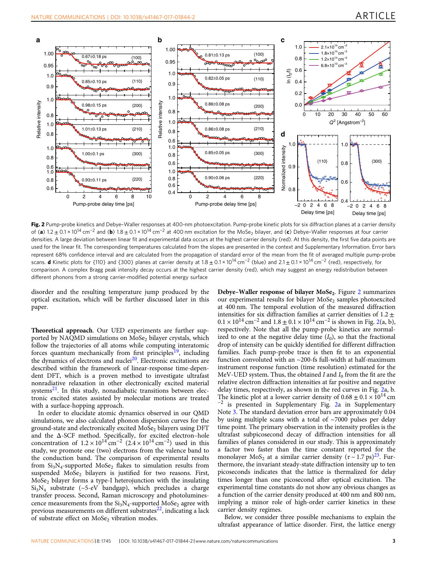<span id="page-2-0"></span>

Fig. 2 Pump-probe kinetics and Debye-Waller responses at 400-nm photoexcitation. Pump-probe kinetic plots for six diffraction planes at a carrier density of (a)  $1.2 \pm 0.1 \times 10^{14}$  cm<sup>-2</sup> and (b)  $1.8 \pm 0.1 \times 10^{14}$  cm<sup>-2</sup> at 400 nm excitation for the MoSe<sub>2</sub> bilayer, and (c) Debye–Waller responses at four carrier densities. A large deviation between linear fit and experimental data occurs at the highest carrier density (red). At this density, the first five data points are used for the linear fit. The corresponding temperatures calculated from the slopes are presented in the context and Supplementary Information. Error bars represent 68% confidence interval and are calculated from the propagation of standard error of the mean from the fit of averaged multiple pump-probe scans. **d** Kinetic plots for {110} and {300} planes at carrier density at  $1.8 \pm 0.1 \times 10^{14}$  cm<sup>-2</sup> (blue) and  $2.1 \pm 0.1 \times 10^{14}$  cm<sup>-2</sup> (red), respectively, for comparison. A complex Bragg peak intensity decay occurs at the highest carrier density (red), which may suggest an energy redistribution between different phonons from a strong carrier-modified potential energy surface

disorder and the resulting temperature jump produced by the optical excitation, which will be further discussed later in this paper.

Theoretical approach. Our UED experiments are further supported by NAQMD simulations on MoSe<sub>2</sub> bilayer crystals, which follow the trajectories of all atoms while computing interatomic forces quantum mechanically from first principles<sup>19</sup>, including the dynamics of electrons and nuclei<sup>[20](#page-7-0)</sup>. Electronic excitations are described within the framework of linear-response time-dependent DFT, which is a proven method to investigate ultrafast nonradiative relaxation in other electronically excited material systems $^{21}$  $^{21}$  $^{21}$ . In this study, nonadiabatic transitions between electronic excited states assisted by molecular motions are treated with a surface-hopping approach.

In order to elucidate atomic dynamics observed in our QMD simulations, we also calculated phonon dispersion curves for the ground-state and electronically excited MoSe<sub>2</sub> bilayers using DFT and the  $\Delta$ -SCF method. Specifically, for excited electron–hole concentration of  $1.2 \times 10^{14}$  cm<sup>-2</sup> ( $2.4 \times 10^{14}$  cm<sup>-2</sup>) used in this study, we promote one (two) electrons from the valence band to the conduction band. The comparison of experimental results from  $Si<sub>3</sub>N<sub>4</sub>$ -supported MoSe<sub>2</sub> flakes to simulation results from suspended  $MoSe<sub>2</sub>$  bilayers is justified for two reasons. First, MoSe2 bilayer forms a type-I heterojunction with the insulating  $Si<sub>3</sub>N<sub>4</sub>$  substrate (~5-eV bandgap), which precludes a charge transfer process. Second, Raman microscopy and photoluminescence measurements from the  $Si<sub>3</sub>N<sub>4</sub>$ -supported MoSe<sub>2</sub> agree with previous measurements on different substrates $^{22}$ , indicating a lack of substrate effect on MoSe<sub>2</sub> vibration modes.

Debye–Waller response of bilayer MoSe<sub>2</sub>. Figure 2 summarizes our experimental results for bilayer MoSe<sub>2</sub> samples photoexcited at 400 nm. The temporal evolution of the measured diffraction intensities for six diffraction families at carrier densities of  $1.2 \pm$  $0.1 \times 10^{14}$  cm<sup>-2</sup> and  $1.8 \pm 0.1 \times 10^{14}$  cm<sup>-2</sup> is shown in Fig. 2(a, b), respectively. Note that all the pump-probe kinetics are normalized to one at the negative delay time  $(I_0)$ , so that the fractional drop of intensity can be quickly identified for different diffraction families. Each pump-probe trace is then fit to an exponential function convoluted with an ~200-fs full-width at half-maximum instrument response function (time resolution) estimated for the MeV-UED system. Thus, the obtained I and  $I_0$  from the fit are the relative electron diffraction intensities at far positive and negative delay times, respectively, as shown in the red curves in Fig. 2a, b. The kinetic plot at a lower carrier density of  $0.68 \pm 0.1 \times 10^{14}$  cm  $^{-2}$  is presented in Supplementary Fig. 2a in Supplementary Note 3. The standard deviation error bars are approximately 0.04 by using multiple scans with a total of ~7000 pulses per delay time point. The primary observation in the intensity profiles is the ultrafast subpicosecond decay of diffraction intensities for all families of planes considered in our study. This is approximately a factor two faster than the time constant reported for the monolayer MoS<sub>2</sub> at a similar carrier density  $(\tau \sim 1.7 \text{ ps})^{23}$  $(\tau \sim 1.7 \text{ ps})^{23}$  $(\tau \sim 1.7 \text{ ps})^{23}$ . Furthermore, the invariant steady-state diffraction intensity up to ten picoseconds indicates that the lattice is thermalized for delay times longer than one picosecond after optical excitation. The experimental time constants do not show any obvious changes as a function of the carrier density produced at 400 nm and 800 nm, implying a minor role of high-order carrier kinetics in these carrier density regimes.

Below, we consider three possible mechanisms to explain the ultrafast appearance of lattice disorder. First, the lattice energy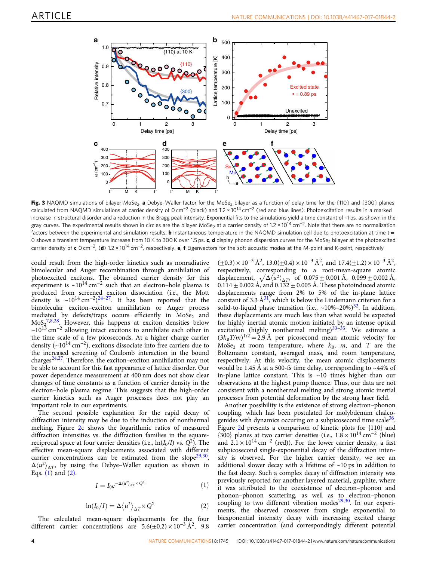<span id="page-3-0"></span>

Fig. 3 NAQMD simulations of bilayer MoSe<sub>2</sub>. a Debye-Waller factor for the MoSe<sub>2</sub> bilayer as a function of delay time for the {110} and {300} planes calculated from NAQMD simulations at carrier density of 0 cm−<sup>2</sup> (black) and 1.2 × 1014 cm−<sup>2</sup> (red and blue lines). Photoexcitation results in a marked increase in structural disorder and a reduction in the Bragg peak intensity. Exponential fits to the simulations yield a time constant of ~1 ps, as shown in the gray curves. The experimental results shown in circles are the bilayer MoSe<sub>2</sub> at a carrier density of 1.2 × 10<sup>14</sup> cm<sup>-2</sup>. Note that there are no normalization factors between the experimental and simulation results. **b** Instantaneous temperature in the NAQMD simulation cell due to photoexcitation at time  $t =$ 0 shows a transient temperature increase from 10 K to 300 K over 1.5 ps. c, d display phonon dispersion curves for the MoSe<sub>2</sub> bilayer at the photoexcited carrier density of c 0 cm<sup>-2</sup>, (d) 1.2 × 10<sup>14</sup> cm<sup>-2</sup>, respectively. e, f Eigenvectors for the soft acoustic modes at the M-point and K-point, respectively

could result from the high-order kinetics such as nonradiative bimolecular and Auger recombination through annihilation of photoexcited excitons. The obtained carrier density for this experiment is ~10<sup>14</sup> cm<sup>-2</sup> such that an electron–hole plasma is produced from screened exciton dissociation (i.e., the Mott density is ~10<sup>14</sup> cm<sup>−2</sup>)<sup>[24](#page-7-0)–27</sup>. It has been reported that the bimolecular exciton–exciton annihilation or Auger process mediated by defects/traps occurs efficiently in  $M_0$ Se<sub>2</sub> and  $\text{MoS}_{2}^{7,8,28}$  $\text{MoS}_{2}^{7,8,28}$  $\text{MoS}_{2}^{7,8,28}$  $\text{MoS}_{2}^{7,8,28}$  $\text{MoS}_{2}^{7,8,28}$  $\text{MoS}_{2}^{7,8,28}$ . However, this happens at exciton densities below ~1013 cm−<sup>2</sup> allowing intact excitons to annihilate each other in the time scale of a few picoseconds. At a higher charge carrier density (~10<sup>14</sup> cm<sup>-2</sup>), excitons dissociate into free carriers due to the increased screening of Coulomb interaction in the bound charges $24,27$  $24,27$  $24,27$ . Therefore, the exciton–exciton annihilation may not be able to account for this fast appearance of lattice disorder. Our power dependence measurement at 400 nm does not show clear changes of time constants as a function of carrier density in the electron–hole plasma regime. This suggests that the high-order carrier kinetics such as Auger processes does not play an important role in our experiments.

The second possible explanation for the rapid decay of diffraction intensity may be due to the induction of nonthermal melting. Figure [2](#page-2-0)c shows the logarithmic ratios of measured diffraction intensities vs. the diffraction families in the squarereciprocal space at four carrier densities (i.e.,  $\ln(I_0/I)$  vs.  $Q^2$ ). The effective mean-square displacements associated with different carrier concentrations can be estimated from the slope<sup>29,30</sup>,  $\Delta \langle u^2 \rangle_{\Lambda T}$ , by using the Debye–Waller equation as shown in Eqs. (1) and (2).

$$
I = I_0 e^{-\Delta \langle u^2 \rangle_{\Delta T} \times Q^2}
$$
 (1)

$$
\ln(I_0/I) = \Delta \langle u^2 \rangle_{\Delta T} \times Q^2 \tag{2}
$$

The calculated mean-square displacements for the four different carrier concentrations are  $5.6(\pm 0.2) \times 10^{-3} \text{ Å}^2$ , 9.8

 $(\pm 0.3) \times 10^{-3}$  Å<sup>2</sup>, 13.0( $\pm 0.4$ ) × 10<sup>-3</sup> Å<sup>2</sup>, and 17.4( $\pm 1.2$ ) × 10<sup>-3</sup> Å<sup>2</sup>, respectively, corresponding to a root-mean-square atomic displacement,  $\sqrt{\Delta \langle u^2 \rangle_{\Delta T}}$ , of 0.075 ± 0.001 Å, 0.099 ± 0.002 Å,  $0.114 \pm 0.002$  Å, and  $0.132 \pm 0.005$  Å. These photoinduced atomic displacements range from 2% to 5% of the in-plane lattice constant of 3.3  $\AA$ <sup>[31](#page-7-0)</sup>, which is below the Lindemann criterion for a solid-to-liquid phase transition (i.e.,  $\sim 10\% - 20\%$ )<sup>[32](#page-7-0)</sup>. In addition, these displacements are much less than what would be expected for highly inertial atomic motion initiated by an intense optical excitation (highly nonthermal melting) $33-35$  $33-35$ . We estimate a  $(3k_BT/m)^{1/2}$  = 2.9 Å per picosecond mean atomic velocity for MoSe<sub>2</sub> at room temperature, where  $k_B$ , m, and T are the Boltzmann constant, averaged mass, and room temperature, respectively. At this velocity, the mean atomic displacements would be 1.45 Å at a 500-fs time delay, corresponding to  $\sim$ 44% of in-plane lattice constant. This is  $\sim 10$  times higher than our observations at the highest pump fluence. Thus, our data are not consistent with a nonthermal melting and strong atomic inertial processes from potential deformation by the strong laser field.

Another possibility is the existence of strong electron–phonon coupling, which has been postulated for molybdenum chalcogenides with dynamics occuring on a subpicosecond time scale $36$ . Figure [2](#page-2-0)d presents a comparison of kinetic plots for {110} and {300} planes at two carrier densities (i.e.,  $1.8 \times 10^{14}$  cm<sup>-2</sup> (blue) and  $2.1 \times 10^{14}$  cm<sup>-2</sup> (red)). For the lower carrier density, a fast subpicosecond single-exponential decay of the diffraction intensity is observed. For the higher carrier density, we see an additional slower decay with a lifetime of  $\sim$ 10 ps in addition to the fast decay. Such a complex decay of diffraction intensity was previously reported for another layered material, graphite, where it was attributed to the coexistence of electron–phonon and phonon–phonon scattering, as well as to electron–phonon coupling to two different vibration modes<sup>[29](#page-7-0),[30](#page-7-0)</sup>. In our experiments, the observed crossover from single exponential to biexponential intensity decay with increasing excited charge carrier concentration (and correspondingly different potential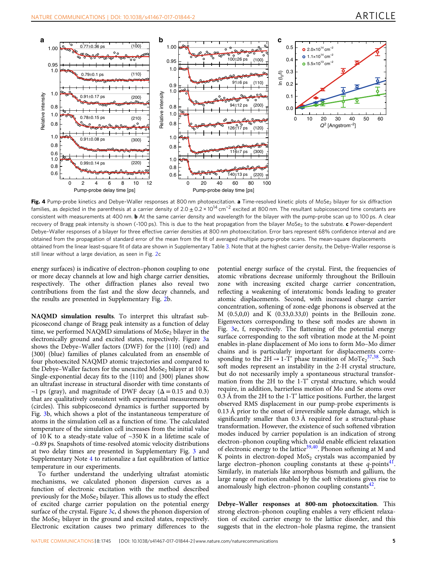<span id="page-4-0"></span>

Fig. 4 Pump-probe kinetics and Debye-Waller responses at 800 nm photoexcitation. a Time-resolved kinetic plots of MoSe<sub>2</sub> bilayer for six diffraction families, as depicted in the parenthesis at a carrier density of  $2.0 \pm 0.2 \times 10^{14}$  cm<sup>-2</sup> excited at 800 nm. The resultant subpicosecond time constants are consistent with measurements at 400 nm. **b** At the same carrier density and wavelength for the bilayer with the pump-probe scan up to 100 ps. A clear recovery of Bragg peak intensity is shown (~100 ps). This is due to the heat propagation from the bilayer MoSe<sub>2</sub> to the substrate. c Power-dependent Debye–Waller responses of a bilayer for three effective carrier densities at 800 nm photoexcitation. Error bars represent 68% confidence interval and are obtained from the propagation of standard error of the mean from the fit of averaged multiple pump-probe scans. The mean-square displacements obtained from the linear least-square fit of data are shown in Supplementary Table 3. Note that at the highest carrier density, the Debye–Waller response is still linear without a large deviation, as seen in Fig. [2c](#page-2-0)

energy surfaces) is indicative of electron–phonon coupling to one or more decay channels at low and high charge carrier densities, respectively. The other diffraction planes also reveal two contributions from the fast and the slow decay channels, and the results are presented in Supplementary Fig. 2b.

NAQMD simulation results. To interpret this ultrafast subpicosecond change of Bragg peak intensity as a function of delay time, we performed NAQMD simulations of  $M_0$ Se<sub>2</sub> bilayer in the electronically ground and excited states, respectively. Figure [3](#page-3-0)a shows the Debye–Waller factors (DWF) for the {110} (red) and {300} (blue) families of planes calculated from an ensemble of four photoexcited NAQMD atomic trajectories and compared to the Debye–Waller factors for the unexcited MoSe<sub>2</sub> bilayer at 10 K. Single-exponential decay fits to the {110} and {300} planes show an ultrafast increase in structural disorder with time constants of ~1 ps (gray), and magnitude of DWF decay ( $\Delta$  = 0.15 and 0.3) that are qualitatively consistent with experimental measurements (circles). This subpicosecond dynamics is further supported by Fig. [3](#page-3-0)b, which shows a plot of the instantaneous temperature of atoms in the simulation cell as a function of time. The calculated temperature of the simulation cell increases from the initial value of  $10$  K to a steady-state value of  $\sim$ 350 K in a lifetime scale of ~0.89 ps. Snapshots of time-resolved atomic velocity distributions at two delay times are presented in Supplementary Fig. 3 and Supplementary Note 4 to rationalize a fast equilibration of lattice temperature in our experiments.

To further understand the underlying ultrafast atomistic mechanisms, we calculated phonon dispersion curves as a function of electronic excitation with the method described previously for the  $M_0Se_2$  bilayer. This allows us to study the effect of excited charge carrier population on the potential energy surface of the crystal. Figure [3](#page-3-0)c, d shows the phonon dispersion of the  $MoSe<sub>2</sub>$  bilayer in the ground and excited states, respectively. Electronic excitation causes two primary differences to the potential energy surface of the crystal. First, the frequencies of atomic vibrations decrease uniformly throughout the Brillouin zone with increasing excited charge carrier concentration, reflecting a weakening of interatomic bonds leading to greater atomic displacements. Second, with increased charge carrier concentration, softening of zone-edge phonons is observed at the M (0.5,0,0) and K (0.33,0.33,0) points in the Brillouin zone. Eigenvectors corresponding to these soft modes are shown in Fig. [3e](#page-3-0), f, respectively. The flattening of the potential energy surface corresponding to the soft vibration mode at the M-point enables in-plane displacement of Mo ions to form Mo–Mo dimer chains and is particularly important for displacements corresponding to the  $2H \rightarrow 1-T'$  phase transition of  $MoTe_2^{37,38}$  $MoTe_2^{37,38}$  $MoTe_2^{37,38}$  $MoTe_2^{37,38}$  $MoTe_2^{37,38}$ . Such soft modes represent an instability in the 2-H crystal structure, but do not necessarily imply a spontaneous structural transformation from the 2H to the 1-T' crystal structure, which would require, in addition, barrierless motion of Mo and Se atoms over 0.3 Å from the 2H to the 1-T' lattice positions. Further, the largest observed RMS displacement in our pump-probe experiments is 0.13 Å prior to the onset of irreversible sample damage, which is significantly smaller than 0.3 Å required for a structural-phase transformation. However, the existence of such softened vibration modes induced by carrier population is an indication of strong electron–phonon coupling which could enable efficient relaxation of electronic energy to the lattice<sup>[39](#page-7-0),[40](#page-7-0)</sup>. Phonon softening at M and K points in electron-doped  $MoS<sub>2</sub>$  crystals was accompanied by large electron–phonon coupling constants at these  $q$ -points<sup>41</sup>. Similarly, in materials like amorphous bismuth and gallium, the large range of motion enabled by the soft vibrations gives rise to anomalously high electron–phonon coupling constants $42$ .

Debye–Waller responses at 800-nm photoexcitation. This strong electron–phonon coupling enables a very efficient relaxation of excited carrier energy to the lattice disorder, and this suggests that in the electron–hole plasma regime, the transient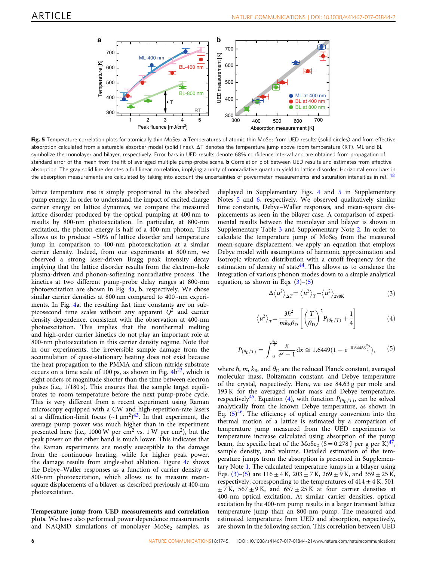<span id="page-5-0"></span>

Fig. 5 Temperature correlation plots for atomically thin MoSe<sub>2</sub>. a Temperatures of atomic thin MoSe<sub>2</sub> from UED results (solid circles) and from effective absorption calculated from a saturable absorber model (solid lines). ΔT denotes the temperature jump above room temperature (RT). ML and BL symbolize the monolayer and bilayer, respectively. Error bars in UED results denote 68% confidence interval and are obtained from propagation of standard error of the mean from the fit of averaged multiple pump-probe scans. **b** Correlation plot between UED results and estimates from effective absorption. The gray solid line denotes a full linear correlation, implying a unity of nonradiative quantum yield to lattice disorder. Horizontal error bars in the absorption measurements are calculated by taking into account the uncertainties of powermeter measurements and saturation intensities in ref. [48](#page-7-0)

lattice temperature rise is simply proportional to the absorbed pump energy. In order to understand the impact of excited charge carrier energy on lattice dynamics, we compare the measured lattice disorder produced by the optical pumping at 400 nm to results by 800-nm photoexcitation. In particular, at 800-nm excitation, the photon energy is half of a 400-nm photon. This allows us to produce ~50% of lattice disorder and temperature jump in comparison to 400-nm photoexcitation at a similar carrier density. Indeed, from our experiments at 800 nm, we observed a strong laser-driven Bragg peak intensity decay implying that the lattice disorder results from the electron–hole plasma-driven and phonon-softening nonradiative process. The kinetics at two different pump-probe delay ranges at 800-nm photoexcitation are shown in Fig. [4a](#page-4-0), b, respectively. We chose similar carrier densities at 800 nm compared to 400 -nm experiments. In Fig. [4a](#page-4-0), the resulting fast time constants are on subpicosecond time scales without any apparent  $Q^2$  and carrier density dependence, consistent with the observation at 400-nm photoexcitation. This implies that the nonthermal melting and high-order carrier kinetics do not play an important role at 800-nm photoexcitation in this carrier density regime. Note that in our experiments, the irreversible sample damage from the accumulation of quasi-stationary heating does not exist because the heat propagation to the PMMA and silicon nitride substrate occurs on a time scale of 100 ps, as shown in Fig.  $4b^{23}$  $4b^{23}$ , which is eight orders of magnitude shorter than the time between electron pulses (i.e., 1/180 s). This ensures that the sample target equilibrates to room temperature before the next pump-probe cycle. This is very different from a recent experiment using Raman microscopy equipped with a CW and high-repetition-rate lasers at a diffraction-limit focus  $({\sim}1 \,\mu\text{m}^2)^{43}$  $({\sim}1 \,\mu\text{m}^2)^{43}$  $({\sim}1 \,\mu\text{m}^2)^{43}$ . In that experiment, the average pump power was much higher than in the experiment presented here (i.e., 1000 W per cm<sup>2</sup> vs. 1 W per cm<sup>2</sup>), but the peak power on the other hand is much lower. This indicates that the Raman experiments are mostly susceptible to the damage from the continuous heating, while for higher peak power, the damage results from single-shot ablation. Figure [4](#page-4-0)c shows the Debye–Waller responses as a function of carrier density at 800-nm photoexcitation, which allows us to measure meansquare displacements of a bilayer, as described previously at 400-nm photoexcitation.

Temperature jump from UED measurements and correlation plots. We have also performed power dependence measurements and NAQMD simulations of monolayer  $MoSe<sub>2</sub>$  samples, as displayed in Supplementary Figs. 4 and 5 in Supplementary Notes 5 and 6, respectively. We observed qualitatively similar time constants, Debye–Waller responses, and mean-square displacements as seen in the bilayer case. A comparison of experimental results between the monolayer and bilayer is shown in Supplementary Table 3 and Supplementary Note 2. In order to calculate the temperature jump of  $MoSe<sub>2</sub>$  from the measured mean-square displacement, we apply an equation that employs Debye model with assumptions of harmonic approximation and isotropic vibration distribution with a cutoff frequency for the estimation of density of state $44$ . This allows us to condense the integration of various phonon modes down to a simple analytical equation, as shown in Eqs.  $(3)-(5)$ 

$$
\Delta \langle u^2 \rangle_{\Delta T} = \langle u^2 \rangle_T - \langle u^2 \rangle_{298K}
$$
 (3)

$$
\langle u^2 \rangle_T = \frac{3\hbar^2}{mk_B \theta_D} \left[ \left( \frac{T}{\theta_D} \right)^2 P_{(\theta_D/T)} + \frac{1}{4} \right]
$$
 (4)

$$
P_{(\theta_D/T)} = \int_{0}^{\frac{\theta_D}{T}} \frac{x}{e^x - 1} dx \cong 1.6449 (1 - e^{-0.64486 \frac{\theta_D}{T}}), \quad (5)
$$

where  $\hbar$ ,  $m$ ,  $k_B$ , and  $\theta_D$  are the reduced Planck constant, averaged molecular mass, Boltzmann constant, and Debye temperature of the crystal, respectively. Here, we use 84.63 g per mole and 193 K for the averaged molar mass and Debye temperature, respectively<sup>45</sup>. Equation (4), with function  $P_{(\theta_D/T)}$ , can be solved analytically from the known Debye temperature, as shown in Eq.  $(5)^{46}$  $(5)^{46}$  $(5)^{46}$ . The efficiency of optical energy conversion into the thermal motion of a lattice is estimated by a comparison of temperature jump measured from the UED experiments to temperature increase calculated using absorption of the pump beam, the specific heat of the MoSe<sub>2</sub> (S = 0.278 J per g per K)<sup>47</sup>, sample density, and volume. Detailed estimation of the temperature jumps from the absorption is presented in Supplementary Note 1. The calculated temperature jumps in a bilayer using Eqs. (3)–(5) are  $116 \pm 4$  K,  $203 \pm 7$  K,  $269 \pm 9$  K, and  $359 \pm 25$  K, respectively, corresponding to the temperatures of  $414 \pm 4$  K, 501  $\pm$  7 K, 567  $\pm$  9 K, and 657  $\pm$  25 K at four carrier densities at 400-nm optical excitation. At similar carrier densities, optical excitation by the 400-nm pump results in a larger transient lattice temperature jump than an 800-nm pump. The measured and estimated temperatures from UED and absorption, respectively, are shown in the following section. This correlation between UED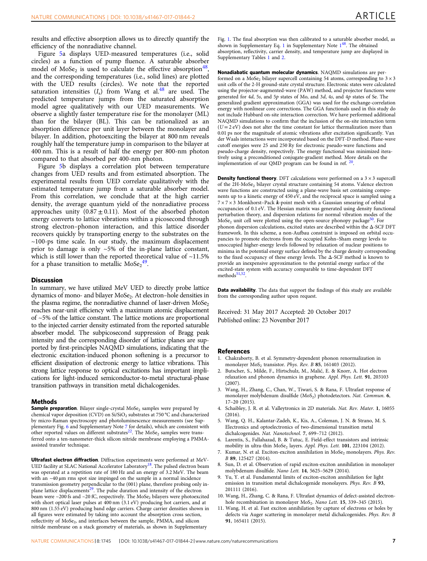<span id="page-6-0"></span>results and effective absorption allows us to directly quantify the efficiency of the nonradiative channel.

Figure [5](#page-5-0)a displays UED-measured temperatures (i.e., solid circles) as a function of pump fluence. A saturable absorber model of MoSe<sub>2</sub> is used to calculate the effective absorption<sup>48</sup>, and the corresponding temperatures (i.e., solid lines) are plotted with the UED results (circles). We note that the reported saturation intensities  $(I_s)$  from Wang et al.<sup>48</sup> are used. The predicted temperature jumps from the saturated absorption model agree qualitatively with our UED measurements. We observe a slightly faster temperature rise for the monolayer (ML) than for the bilayer (BL). This can be rationalized as an absorption difference per unit layer between the monolayer and bilayer. In addition, photoexciting the bilayer at 800 nm reveals roughly half the temperature jump in comparison to the bilayer at 400 nm. This is a result of half the energy per 800-nm photon compared to that absorbed per 400-nm photon.

Figure [5](#page-5-0)b displays a correlation plot between temperature changes from UED results and from estimated absorption. The experimental results from UED correlate qualitatively with the estimated temperature jump from a saturable absorber model. From this correlation, we conclude that at the high carrier density, the average quantum yield of the nonradiative process approaches unity  $(0.87 \pm 0.11)$ . Most of the absorbed photon energy converts to lattice vibrations within a picosecond through strong electron–phonon interaction, and this lattice disorder recovers quickly by transporting energy to the substrates on the  $\sim$ 100-ps time scale. In our study, the maximum displacement prior to damage is only ~5% of the in-plane lattice constant, which is still lower than the reported theoretical value of  $~11.5\%$ for a phase transition to metallic  $\text{MoSe}_{2}^{49}$  $\text{MoSe}_{2}^{49}$  $\text{MoSe}_{2}^{49}$ .

#### Discussion

In summary, we have utilized MeV UED to directly probe lattice dynamics of mono- and bilayer MoSe<sub>2</sub>. At electron-hole densities in the plasma regime, the nonradiative channel of laser-driven  $M_0$ Se<sub>2</sub> reaches near-unit efficiency with a maximum atomic displacement of ~5% of the lattice constant. The lattice motions are proportional to the injected carrier density estimated from the reported saturable absorber model. The subpicosecond suppression of Bragg peak intensity and the corresponding disorder of lattice planes are supported by first-principles NAQMD simulations, indicating that the electronic excitation-induced phonon softening is a precursor to efficient dissipation of electronic energy to lattice vibrations. This strong lattice response to optical excitations has important implications for light-induced semiconductor-to-metal structural-phase transition pathways in transition metal dichalcogenides.

#### Methods

**Sample preparation**. Bilayer single-crystal  $Mose<sub>2</sub>$  samples were prepared by chemical vapor deposition (CVD) on Si/SiO<sub>2</sub> substrates at 750 °C and characterized by micro-Raman spectroscopy and photoluminescence measurements (see Supplementary Fig. 6 and Supplementary Note 7 for details), which are consistent with other reported values on different substrates<sup>[22](#page-7-0)</sup>. The  $M_0$ Se<sub>2</sub> samples were transferred onto a ten-nanometer-thick silicon nitride membrane employing a PMMAassisted transfer technique.

Ultrafast electron diffraction. Diffraction experiments were performed at MeV-UED facility at SLAC National Accelerator Laboratory<sup>[18](#page-7-0)</sup>. The pulsed electron beam was operated at a repetition rate of 180 Hz and an energy of 3.2 MeV. The beam with an ~40 µm rms spot size impinged on the sample in a normal incidence transmission geometry perpendicular to the (001) plane, therefore probing only in-plane lattice displacements<sup>[29](#page-7-0)</sup>. The pulse duration and intensity of the electron beam were ~200 fs and ~20 fC, respectively. The MoSe<sub>2</sub> bilayers were photoexcited with short optical laser pulses at 400 nm (3.1 eV) producing hot carriers, and at 800 nm (1.55 eV) producing band edge carriers. Charge carrier densities shown in all figures were estimated by taking into account the absorption cross section, reflectivity of MoSe<sub>2</sub>, and interfaces between the sample, PMMA, and silicon nitride membrane on a stack geometry of materials, as shown in Supplementary

Fig. 1. The final absorption was then calibrated to a saturable absorber model, as shown in Supplementary Eq. 1 in Supplementary Note  $1^{48}$ . The obtained absorption, reflectivity, carrier density, and temperature jump are displayed in Supplementary Tables 1 and 2.

Nonadiabatic quantum molecular dynamics. NAQMD simulations are performed on a MoSe<sub>2</sub> bilayer supercell containing 54 atoms, corresponding to  $3 \times 3$ unit cells of the 2-H ground-state crystal structure. Electronic states were calculated using the projector-augmented-wave (PAW) method, and projector functions were generated for 4d, 5s, and 5p states of Mo, and 3d, 4s, and 4p states of Se. The generalized gradient approximation (GGA) was used for the exchange-correlation energy with nonlinear core corrections. The GGA functionals used in this study do not include Hubbard on-site interaction correction. We have performed additional NAQMD simulations to confirm that the inclusion of the on-site interaction term  $(U = 2$  eV) does not alter the time constant for lattice thermalization more than 0.01 ps nor the magnitude of atomic vibrations after excitation significantly. Van der Waals interactions were incorporated based on the DFT-D method. Plane-wave cutoff energies were 25 and 250 Ry for electronic pseudo-wave functions and pseudo-charge density, respectively. The energy functional was minimized iteratively using a preconditioned conjugate-gradient method. More details on the implementation of our QMD program can be found in ref. [20](#page-7-0).

**Density functional theory**. DFT calculations were performed on a  $3 \times 3$  supercell of the 2H-MoSe<sub>2</sub> bilayer crystal structure containing 54 atoms. Valence electron wave functions are constructed using a plane-wave basis set containing components up to a kinetic energy of 450 eV, and the reciprocal space is sampled using a  $7 \times 7 \times 3$  Monkhorst-Pack  $\vec{k}$ -point mesh with a Gaussian smearing of orbital occupancies of 0.1 eV. The Hessian matrix was generated using density functional perturbation theory, and dispersion relations for normal vibration modes of the MoSe<sub>2</sub> unit cell were plotted using the open-source phonopy package<sup>[50](#page-7-0)</sup>. For phonon dispersion calculations, excited states are described within the Δ-SCF DFT framework. In this scheme, a non-Aufbau constraint is imposed on orbital occupancies to promote electrons from the occupied Kohn–Sham energy levels to unoccupied higher-energy levels followed by relaxation of nuclear positions to minima in the potential energy surface defined by the charge density corresponding to the fixed occupancy of these energy levels. The Δ-SCF method is known to provide an inexpensive approximation to the potential energy surface of the excited-state system with accuracy comparable to time-dependent DFT  $methods<sup>51,52</sup>$ 

**Data availability**. The data that support the findings of this study are available from the corresponding author upon request.

Received: 31 May 2017 Accepted: 20 October 2017

#### References

- 1. Chakraborty, B. et al. Symmetry-dependent phonon renormalization in monolayer  $MoS<sub>2</sub>$  transistor. Phys. Rev. B 85, 161403 (2012).
- 2. Butscher, S., Milde, F., Hirtschulz, M., Malić, E. & Knorr, A. Hot electron relaxation and phonon dynamics in graphene. Appl. Phys. Lett. 91, 203103 (2007).
- 3. Wang, H., Zhang, C., Chan, W., Tiwari, S. & Rana, F. Ultrafast response of monolayer molybdenum disulfide (MoS<sub>2</sub>) photodetectors. Nat. Commun. 6, 17–20 (2015).
- 4. Schaibley, J. R. et al. Valleytronics in 2D materials. Nat. Rev. Mater. 1, 16055  $(2016)$
- 5. Wang, Q. H., Kalantar-Zadeh, K., Kis, A., Coleman, J. N. & Strano, M. S. Electronics and optoelectronics of two-dimensional transition metal dichalcogenides. Nat. Nanotechnol. 7, 699–712 (2012).
- 6. Larentis, S., Fallahazad, B. & Tutuc, E. Field-effect transistors and intrinsic mobility in ultra-thin MoSe<sub>2</sub> layers. Appl. Phys. Lett. 101, 223104 (2012).
- 7. Kumar, N. et al. Exciton-exciton annihilation in MoSe<sub>2</sub> monolayers. Phys. Rev. B 89, 125427 (2014).
- 8. Sun, D. et al. Observation of rapid exciton-exciton annihilation in monolayer molybdenum disulfide. Nano Lett. 14, 5625–5629 (2014).
- 9. Yu, Y. et al. Fundamental limits of exciton-exciton annihilation for light emission in transition metal dichalcogenide monolayers. Phys. Rev. B 93, 201111 (2016).
- 10. Wang, H., Zhang, C. & Rana, F. Ultrafast dynamics of defect-assisted electronhole recombination in monolayer MoS<sub>2</sub>. Nano Lett. 15, 339-345 (2015).
- 11. Wang, H. et al. Fast exciton annihilation by capture of electrons or holes by defects via Auger scattering in monolayer metal dichalcogenides. Phys. Rev. B 91, 165411 (2015).